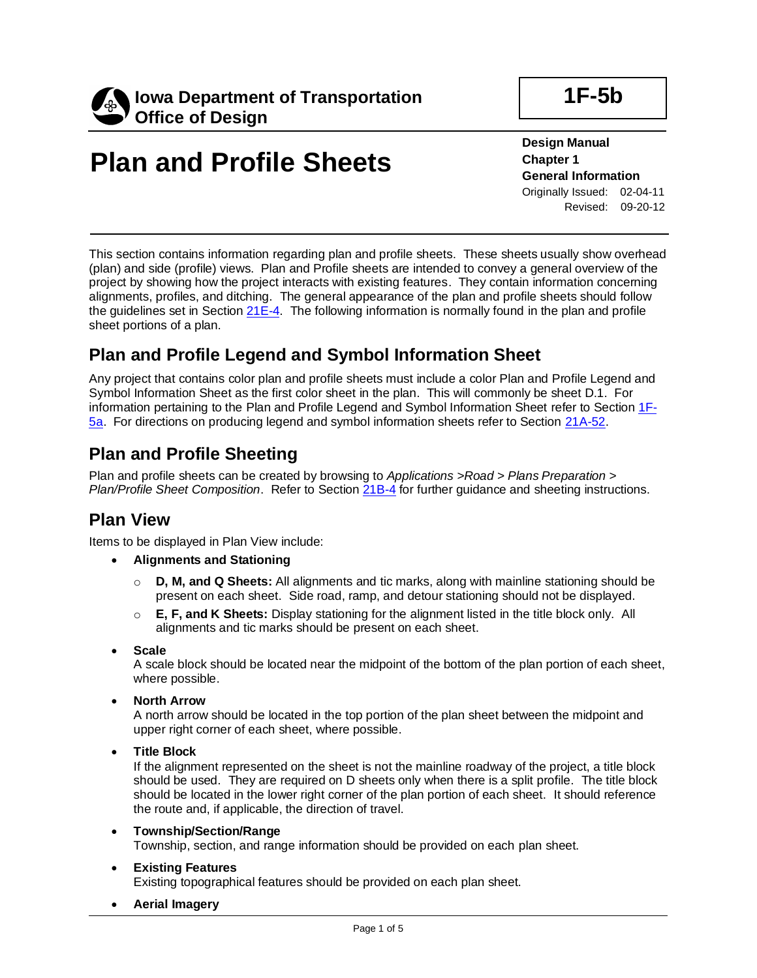

# **Plan and Profile Sheets**

**Design Manual Chapter 1 General Information** Originally Issued: 02-04-11 Revised: 09-20-12

This section contains information regarding plan and profile sheets. These sheets usually show overhead (plan) and side (profile) views. Plan and Profile sheets are intended to convey a general overview of the project by showing how the project interacts with existing features. They contain information concerning alignments, profiles, and ditching. The general appearance of the plan and profile sheets should follow the guidelines set in Section [21E-4.](21E-04.pdf) The following information is normally found in the plan and profile sheet portions of a plan.

### **Plan and Profile Legend and Symbol Information Sheet**

Any project that contains color plan and profile sheets must include a color Plan and Profile Legend and Symbol Information Sheet as the first color sheet in the plan. This will commonly be sheet D.1. For information pertaining to the Plan and Profile Legend and Symbol Information Sheet refer to Section [1F-](01F-05a.pdf)[5a.](01F-05a.pdf) For directions on producing legend and symbol information sheets refer to Section [21A-52.](21A-52.pdf)

### **Plan and Profile Sheeting**

Plan and profile sheets can be created by browsing to *Applications >Road > Plans Preparation > Plan/Profile Sheet Composition*. Refer to Section [21B-4](21B-04.pdf) for further guidance and sheeting instructions.

### **Plan View**

Items to be displayed in Plan View include:

- **Alignments and Stationing**
	- o **D, M, and Q Sheets:** All alignments and tic marks, along with mainline stationing should be present on each sheet. Side road, ramp, and detour stationing should not be displayed.
	- o **E, F, and K Sheets:** Display stationing for the alignment listed in the title block only. All alignments and tic marks should be present on each sheet.
- **Scale**

A scale block should be located near the midpoint of the bottom of the plan portion of each sheet, where possible.

• **North Arrow**

A north arrow should be located in the top portion of the plan sheet between the midpoint and upper right corner of each sheet, where possible.

• **Title Block**

If the alignment represented on the sheet is not the mainline roadway of the project, a title block should be used. They are required on D sheets only when there is a split profile. The title block should be located in the lower right corner of the plan portion of each sheet. It should reference the route and, if applicable, the direction of travel.

- **Township/Section/Range** Township, section, and range information should be provided on each plan sheet.
- **Existing Features**

Existing topographical features should be provided on each plan sheet.

• **Aerial Imagery**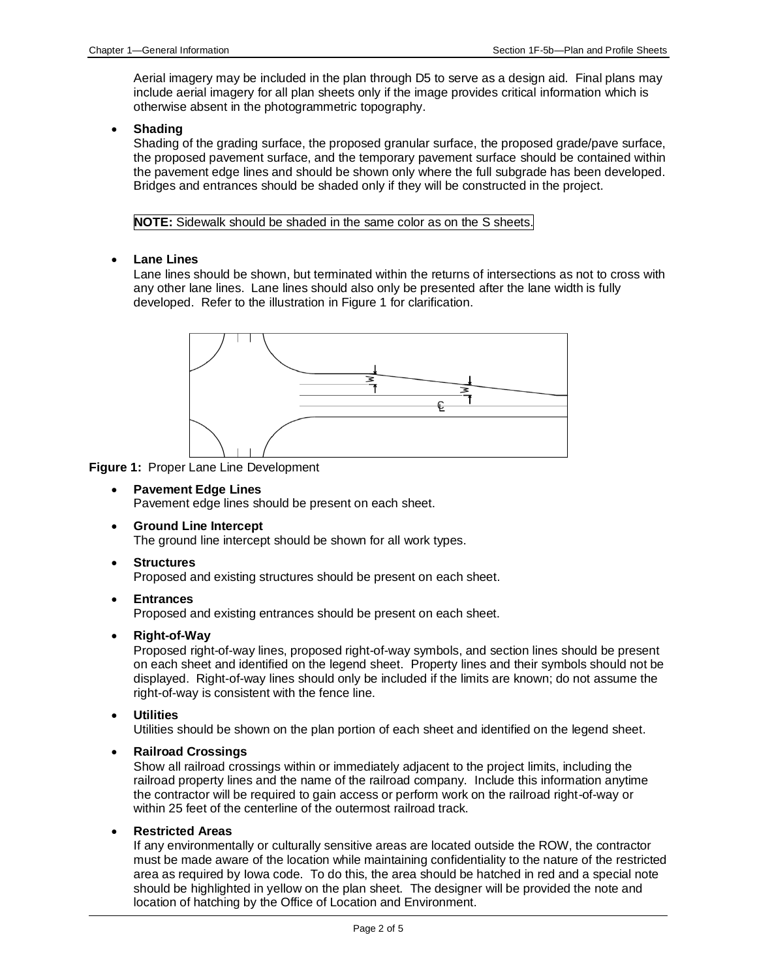Aerial imagery may be included in the plan through D5 to serve as a design aid. Final plans may include aerial imagery for all plan sheets only if the image provides critical information which is otherwise absent in the photogrammetric topography.

• **Shading**

Shading of the grading surface, the proposed granular surface, the proposed grade/pave surface, the proposed pavement surface, and the temporary pavement surface should be contained within the pavement edge lines and should be shown only where the full subgrade has been developed. Bridges and entrances should be shaded only if they will be constructed in the project.

**NOTE:** Sidewalk should be shaded in the same color as on the S sheets.

• **Lane Lines**

Lane lines should be shown, but terminated within the returns of intersections as not to cross with any other lane lines. Lane lines should also only be presented after the lane width is fully developed. Refer to the illustration in Figure 1 for clarification.



**Figure 1:** Proper Lane Line Development

- **Pavement Edge Lines** Pavement edge lines should be present on each sheet.
- **Ground Line Intercept**

The ground line intercept should be shown for all work types.

• **Structures**

Proposed and existing structures should be present on each sheet.

• **Entrances**

Proposed and existing entrances should be present on each sheet.

• **Right-of-Way**

Proposed right-of-way lines, proposed right-of-way symbols, and section lines should be present on each sheet and identified on the legend sheet. Property lines and their symbols should not be displayed. Right-of-way lines should only be included if the limits are known; do not assume the right-of-way is consistent with the fence line.

• **Utilities**

Utilities should be shown on the plan portion of each sheet and identified on the legend sheet.

• **Railroad Crossings**

Show all railroad crossings within or immediately adjacent to the project limits, including the railroad property lines and the name of the railroad company. Include this information anytime the contractor will be required to gain access or perform work on the railroad right-of-way or within 25 feet of the centerline of the outermost railroad track.

• **Restricted Areas**

If any environmentally or culturally sensitive areas are located outside the ROW, the contractor must be made aware of the location while maintaining confidentiality to the nature of the restricted area as required by Iowa code. To do this, the area should be hatched in red and a special note should be highlighted in yellow on the plan sheet. The designer will be provided the note and location of hatching by the Office of Location and Environment.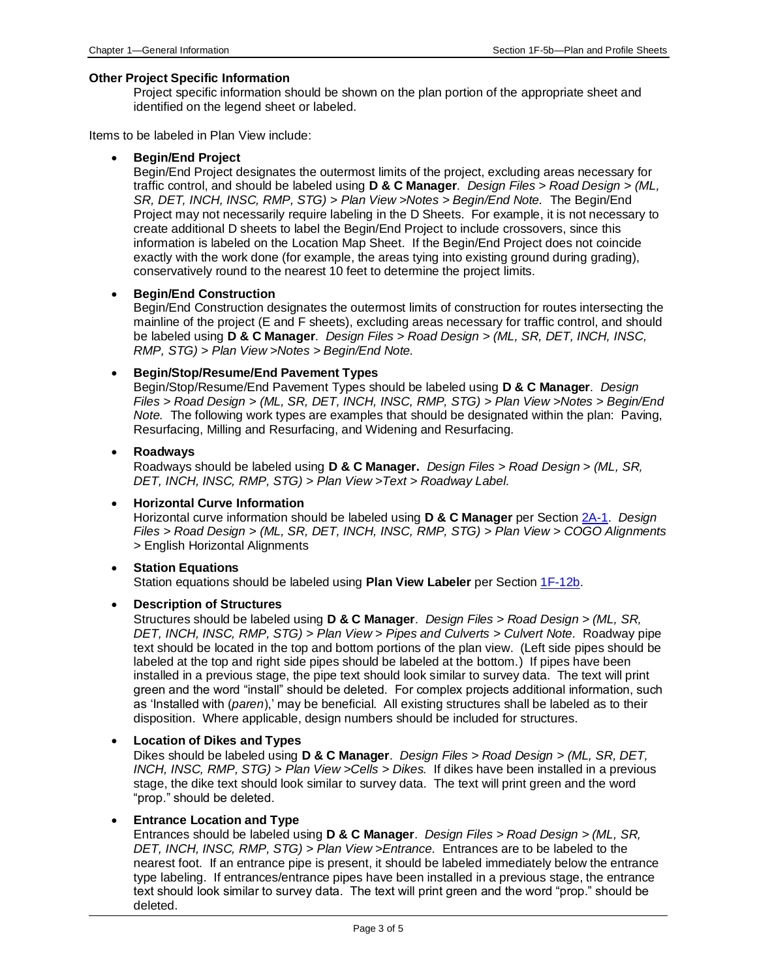#### **Other Project Specific Information**

Project specific information should be shown on the plan portion of the appropriate sheet and identified on the legend sheet or labeled.

Items to be labeled in Plan View include:

#### • **Begin/End Project**

Begin/End Project designates the outermost limits of the project, excluding areas necessary for traffic control, and should be labeled using **D & C Manager**. *Design Files > Road Design > (ML, SR, DET, INCH, INSC, RMP, STG) > Plan View >Notes > Begin/End Note.* The Begin/End Project may not necessarily require labeling in the D Sheets. For example, it is not necessary to create additional D sheets to label the Begin/End Project to include crossovers, since this information is labeled on the Location Map Sheet. If the Begin/End Project does not coincide exactly with the work done (for example, the areas tying into existing ground during grading), conservatively round to the nearest 10 feet to determine the project limits.

#### • **Begin/End Construction**

Begin/End Construction designates the outermost limits of construction for routes intersecting the mainline of the project (E and F sheets), excluding areas necessary for traffic control, and should be labeled using **D & C Manager**. *Design Files > Road Design > (ML, SR, DET, INCH, INSC, RMP, STG)* > *Plan View >Notes > Begin/End Note.*

#### • **Begin/Stop/Resume/End Pavement Types**

Begin/Stop/Resume/End Pavement Types should be labeled using **D & C Manager**. *Design Files > Road Design > (ML, SR, DET, INCH, INSC, RMP, STG)* > *Plan View >Notes > Begin/End Note.* The following work types are examples that should be designated within the plan: Paving, Resurfacing, Milling and Resurfacing, and Widening and Resurfacing.

#### • **Roadways**

Roadways should be labeled using **D & C Manager.** *Design Files > Road Design > (ML, SR, DET, INCH, INSC, RMP, STG)* > *Plan View >Text > Roadway Label.*

#### • **Horizontal Curve Information**

Horizontal curve information should be labeled using **D & C Manager** per Section [2A-1.](02A-01.pdf) *Design Files > Road Design > (ML, SR, DET, INCH, INSC, RMP, STG)* > *Plan View > COGO Alignments >* English Horizontal Alignments

#### • **Station Equations**

Station equations should be labeled using **Plan View Labeler** per Section [1F-12b.](01F-12b.pdf)

#### • **Description of Structures**

Structures should be labeled using **D & C Manager**. *Design Files > Road Design* > *(ML, SR, DET, INCH, INSC, RMP, STG)* > *Plan View > Pipes and Culverts > Culvert Note.* Roadway pipe text should be located in the top and bottom portions of the plan view. (Left side pipes should be labeled at the top and right side pipes should be labeled at the bottom.) If pipes have been installed in a previous stage, the pipe text should look similar to survey data. The text will print green and the word "install" should be deleted. For complex projects additional information, such as 'Installed with (*paren*),' may be beneficial. All existing structures shall be labeled as to their disposition. Where applicable, design numbers should be included for structures.

#### • **Location of Dikes and Types**

Dikes should be labeled using **D & C Manager**. *Design Files > Road Design > (ML, SR, DET, INCH, INSC, RMP, STG)* > *Plan View >Cells > Dikes.* If dikes have been installed in a previous stage, the dike text should look similar to survey data. The text will print green and the word "prop." should be deleted.

#### • **Entrance Location and Type**

Entrances should be labeled using **D & C Manager**. *Design Files > Road Design > (ML, SR, DET, INCH, INSC, RMP, STG)* > *Plan View >Entrance.* Entrances are to be labeled to the nearest foot. If an entrance pipe is present, it should be labeled immediately below the entrance type labeling. If entrances/entrance pipes have been installed in a previous stage, the entrance text should look similar to survey data. The text will print green and the word "prop." should be deleted.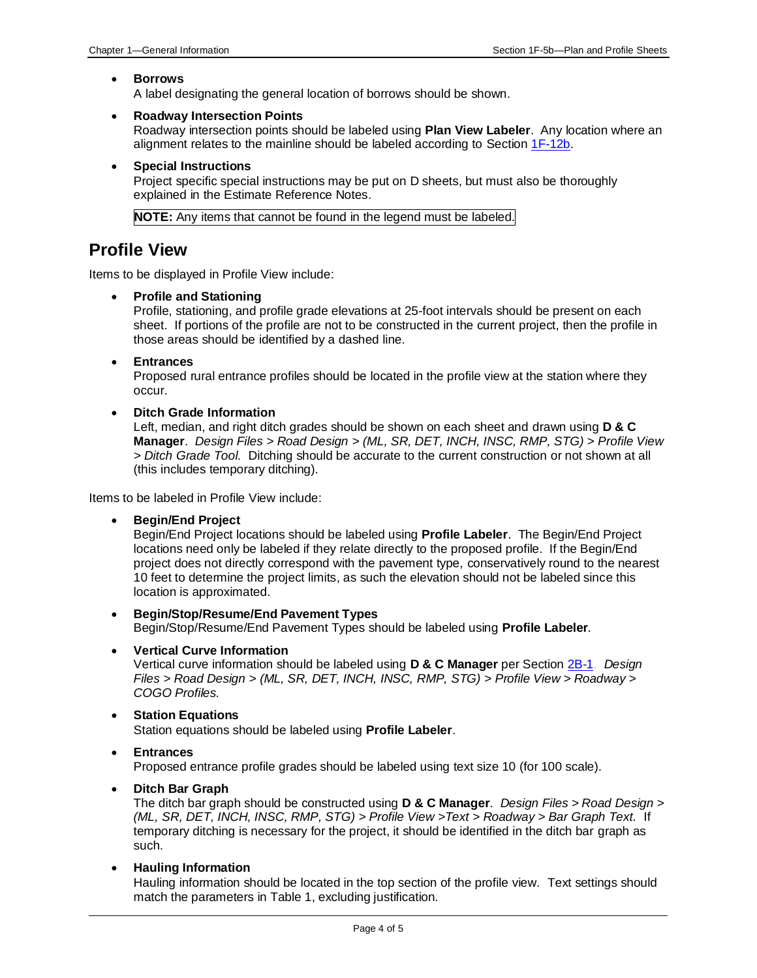#### • **Borrows**

A label designating the general location of borrows should be shown.

#### • **Roadway Intersection Points**

Roadway intersection points should be labeled using **Plan View Labeler**. Any location where an alignment relates to the mainline should be labeled according to Section [1F-12b.](01F-12b.pdf)

• **Special Instructions**

Project specific special instructions may be put on D sheets, but must also be thoroughly explained in the Estimate Reference Notes.

**NOTE:** Any items that cannot be found in the legend must be labeled.

### **Profile View**

Items to be displayed in Profile View include:

#### • **Profile and Stationing**

Profile, stationing, and profile grade elevations at 25-foot intervals should be present on each sheet. If portions of the profile are not to be constructed in the current project, then the profile in those areas should be identified by a dashed line.

• **Entrances**

Proposed rural entrance profiles should be located in the profile view at the station where they occur.

#### • **Ditch Grade Information**

Left, median, and right ditch grades should be shown on each sheet and drawn using **D & C Manager**. *Design Files > Road Design > (ML, SR, DET, INCH, INSC, RMP, STG)* > *Profile View > Ditch Grade Tool.* Ditching should be accurate to the current construction or not shown at all (this includes temporary ditching).

Items to be labeled in Profile View include:

• **Begin/End Project**

Begin/End Project locations should be labeled using **Profile Labeler**. The Begin/End Project locations need only be labeled if they relate directly to the proposed profile. If the Begin/End project does not directly correspond with the pavement type, conservatively round to the nearest 10 feet to determine the project limits, as such the elevation should not be labeled since this location is approximated.

- **Begin/Stop/Resume/End Pavement Types** Begin/Stop/Resume/End Pavement Types should be labeled using **Profile Labeler**.
- **Vertical Curve Information**

Vertical curve information should be labeled using **D & C Manager** per Section [2B-1.](02B-01.pdf) *Design Files > Road Design > (ML, SR, DET, INCH, INSC, RMP, STG)* > *Profile View > Roadway > COGO Profiles.* 

- **Station Equations** Station equations should be labeled using **Profile Labeler**.
- **Entrances** Proposed entrance profile grades should be labeled using text size 10 (for 100 scale).
- **Ditch Bar Graph**

The ditch bar graph should be constructed using **D & C Manager**. *Design Files > Road Design > (ML, SR, DET, INCH, INSC, RMP, STG)* > *Profile View >Text > Roadway > Bar Graph Text.* If temporary ditching is necessary for the project, it should be identified in the ditch bar graph as such.

• **Hauling Information**

Hauling information should be located in the top section of the profile view. Text settings should match the parameters in Table 1, excluding justification.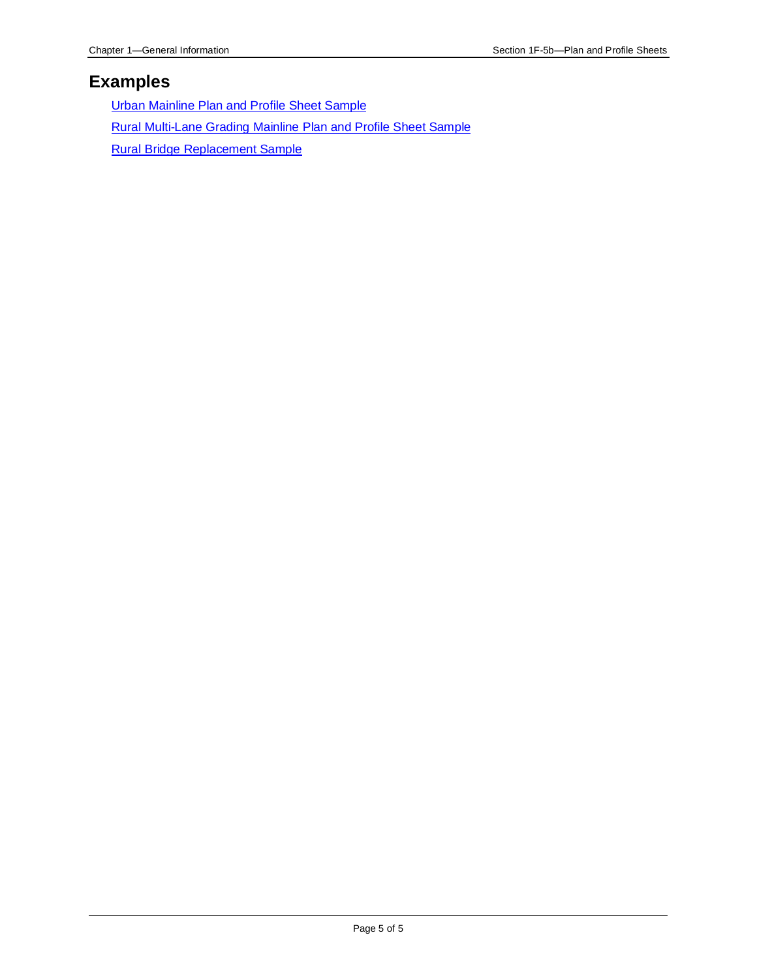### **Examples**

Urban [Mainline](01F-05/UrbanMainlinePlanAndProfileSheetSample.pdf) Plan and Profile Sheet Sample Rural [Multi-Lane](01F-05/RuralMulti-LaneGradingMainlinePlanAndProfileSheetSample.pdf) Grading Mainline Plan and Profile Sheet Sample Rural Bridge [Replacement](01F-05/RuralBridgeReplacementSample.pdf) Sample